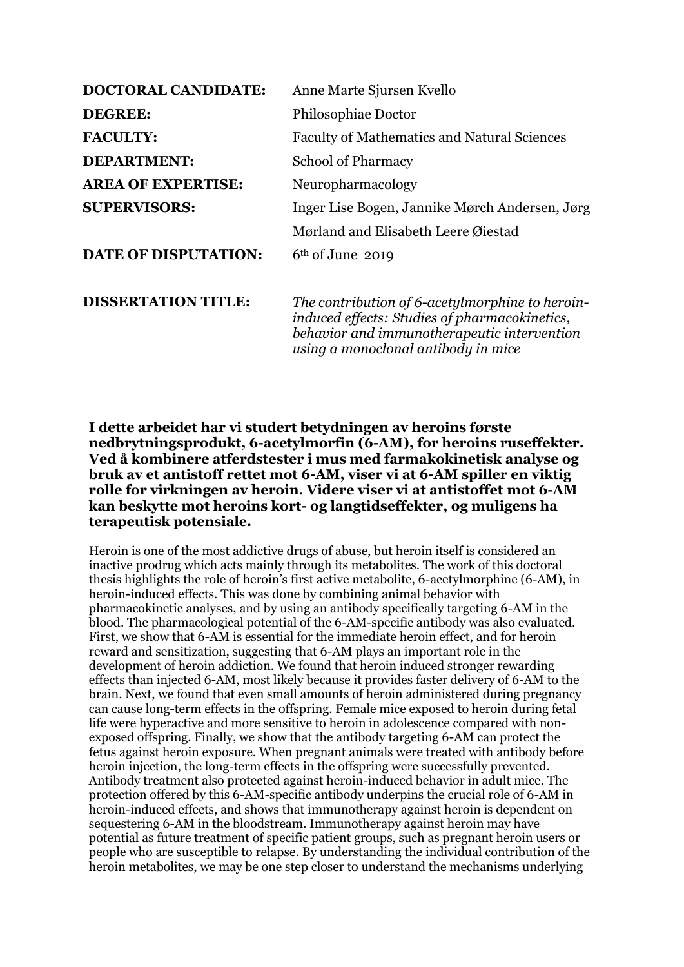| <b>DOCTORAL CANDIDATE:</b>  | Anne Marte Sjursen Kvello                                                                                                                                                              |
|-----------------------------|----------------------------------------------------------------------------------------------------------------------------------------------------------------------------------------|
| <b>DEGREE:</b>              | Philosophiae Doctor                                                                                                                                                                    |
| <b>FACULTY:</b>             | <b>Faculty of Mathematics and Natural Sciences</b>                                                                                                                                     |
| <b>DEPARTMENT:</b>          | <b>School of Pharmacy</b>                                                                                                                                                              |
| <b>AREA OF EXPERTISE:</b>   | Neuropharmacology                                                                                                                                                                      |
| <b>SUPERVISORS:</b>         | Inger Lise Bogen, Jannike Mørch Andersen, Jørg                                                                                                                                         |
|                             | Mørland and Elisabeth Leere Øiestad                                                                                                                                                    |
| <b>DATE OF DISPUTATION:</b> | $6th$ of June 2019                                                                                                                                                                     |
| <b>DISSERTATION TITLE:</b>  | The contribution of 6-acetylmorphine to heroin-<br>induced effects: Studies of pharmacokinetics,<br>behavior and immunotherapeutic intervention<br>using a monoclonal antibody in mice |

## **I dette arbeidet har vi studert betydningen av heroins første nedbrytningsprodukt, 6-acetylmorfin (6-AM), for heroins ruseffekter. Ved å kombinere atferdstester i mus med farmakokinetisk analyse og bruk av et antistoff rettet mot 6-AM, viser vi at 6-AM spiller en viktig rolle for virkningen av heroin. Videre viser vi at antistoffet mot 6-AM kan beskytte mot heroins kort- og langtidseffekter, og muligens ha terapeutisk potensiale.**

Heroin is one of the most addictive drugs of abuse, but heroin itself is considered an inactive prodrug which acts mainly through its metabolites. The work of this doctoral thesis highlights the role of heroin's first active metabolite, 6-acetylmorphine (6-AM), in heroin-induced effects. This was done by combining animal behavior with pharmacokinetic analyses, and by using an antibody specifically targeting 6-AM in the blood. The pharmacological potential of the 6-AM-specific antibody was also evaluated. First, we show that 6-AM is essential for the immediate heroin effect, and for heroin reward and sensitization, suggesting that 6-AM plays an important role in the development of heroin addiction. We found that heroin induced stronger rewarding effects than injected 6-AM, most likely because it provides faster delivery of 6-AM to the brain. Next, we found that even small amounts of heroin administered during pregnancy can cause long-term effects in the offspring. Female mice exposed to heroin during fetal life were hyperactive and more sensitive to heroin in adolescence compared with nonexposed offspring. Finally, we show that the antibody targeting 6-AM can protect the fetus against heroin exposure. When pregnant animals were treated with antibody before heroin injection, the long-term effects in the offspring were successfully prevented. Antibody treatment also protected against heroin-induced behavior in adult mice. The protection offered by this 6-AM-specific antibody underpins the crucial role of 6-AM in heroin-induced effects, and shows that immunotherapy against heroin is dependent on sequestering 6-AM in the bloodstream. Immunotherapy against heroin may have potential as future treatment of specific patient groups, such as pregnant heroin users or people who are susceptible to relapse. By understanding the individual contribution of the heroin metabolites, we may be one step closer to understand the mechanisms underlying